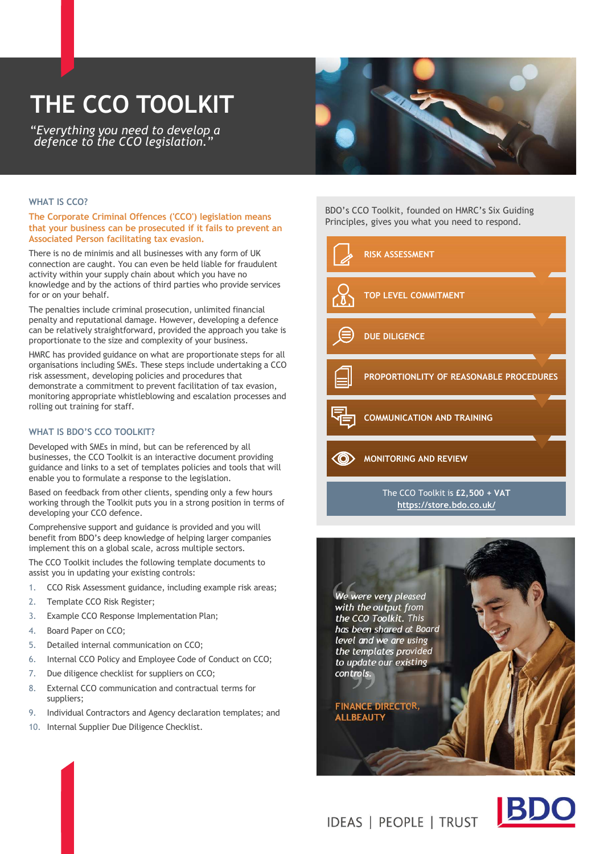# THE CCO TOOLKIT

"Everything you need to develop a defence to the CCO legislation."



#### WHAT IS CCO?

The Corporate Criminal Offences ('CCO') legislation means that your business can be prosecuted if it fails to prevent an Associated Person facilitating tax evasion.

There is no de minimis and all businesses with any form of UK connection are caught. You can even be held liable for fraudulent activity within your supply chain about which you have no knowledge and by the actions of third parties who provide services for or on your behalf.

The penalties include criminal prosecution, unlimited financial penalty and reputational damage. However, developing a defence can be relatively straightforward, provided the approach you take is proportionate to the size and complexity of your business.

HMRC has provided guidance on what are proportionate steps for all organisations including SMEs. These steps include undertaking a CCO risk assessment, developing policies and procedures that demonstrate a commitment to prevent facilitation of tax evasion, monitoring appropriate whistleblowing and escalation processes and rolling out training for staff.

### WHAT IS BDO'S CCO TOOLKIT?

Developed with SMEs in mind, but can be referenced by all businesses, the CCO Toolkit is an interactive document providing guidance and links to a set of templates policies and tools that will enable you to formulate a response to the legislation.

Based on feedback from other clients, spending only a few hours working through the Toolkit puts you in a strong position in terms of developing your CCO defence.

Comprehensive support and guidance is provided and you will benefit from BDO's deep knowledge of helping larger companies implement this on a global scale, across multiple sectors.

The CCO Toolkit includes the following template documents to assist you in updating your existing controls:

- 1. CCO Risk Assessment guidance, including example risk areas;
- 2. Template CCO Risk Register;
- 3. Example CCO Response Implementation Plan;
- 4. Board Paper on CCO;
- 5. Detailed internal communication on CCO;
- 6. Internal CCO Policy and Employee Code of Conduct on CCO;
- 7. Due diligence checklist for suppliers on CCO;
- 8. External CCO communication and contractual terms for suppliers;
- 9. Individual Contractors and Agency declaration templates; and
- 10. Internal Supplier Due Diligence Checklist.

BDO's CCO Toolkit, founded on HMRC's Six Guiding Principles, gives you what you need to respond.



The CCO Toolkit is £2,500 + VAT https://store.bdo.co.uk/





**IDEAS | PEOPLE | TRUST**